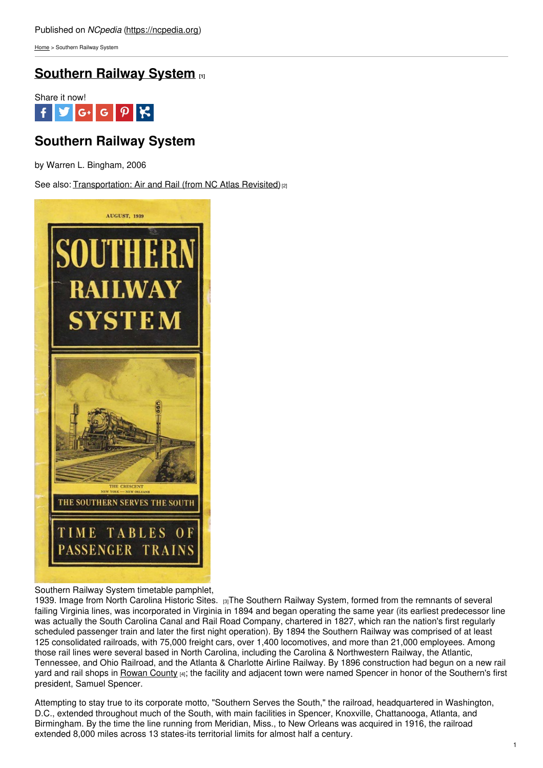[Home](https://ncpedia.org/) > Southern Railway System

## **[Southern](https://ncpedia.org/southern-railway-system) Railway System [1]**



# **Southern Railway System**

by Warren L. Bingham, 2006

See also: [Transportation:](https://ncpedia.org/transportation-air-and-rail-nc) Air and Rail (from NC Atlas Revisited)<sup>[2]</sup>



Southern Railway System timetable pamphlet,

1939. Image from North [Carolina](http://collections.ncdcr.gov/RediscoveryProficioPublicSearch/ShowItem.aspx?1478+) Historic Sites. [3]The Southern Railway System, formed from the remnants of several failing Virginia lines, was incorporated in Virginia in 1894 and began operating the same year (its earliest predecessor line was actually the South Carolina Canal and Rail Road Company, chartered in 1827, which ran the nation's first regularly scheduled passenger train and later the first night operation). By 1894 the Southern Railway was comprised of at least 125 consolidated railroads, with 75,000 freight cars, over 1,400 locomotives, and more than 21,000 employees. Among those rail lines were several based in North Carolina, including the Carolina & Northwestern Railway, the Atlantic, Tennessee, and Ohio Railroad, and the Atlanta & Charlotte Airline Railway. By 1896 construction had begun on a new rail yard and rail shops in [Rowan](https://ncpedia.org/geography/rowan) County [4]; the facility and adjacent town were named Spencer in honor of the Southern's first president, Samuel Spencer.

Attempting to stay true to its corporate motto, "Southern Serves the South," the railroad, headquartered in Washington, D.C., extended throughout much of the South, with main facilities in Spencer, Knoxville, Chattanooga, Atlanta, and Birmingham. By the time the line running from Meridian, Miss., to New Orleans was acquired in 1916, the railroad extended 8,000 miles across 13 states-its territorial limits for almost half a century.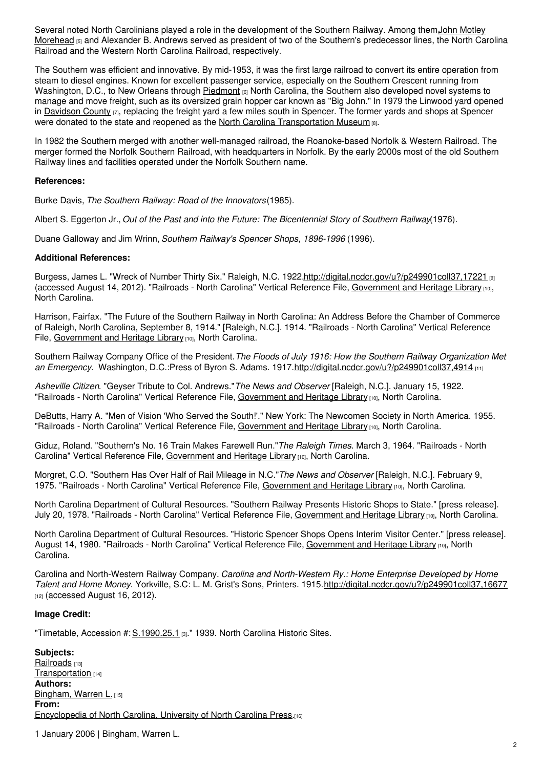Several noted North Carolinians played a role in the [development](https://ncpedia.org/morehead-john-motley-research) of the Southern Railway. Among them, John Motley Morehead [5] and Alexander B. Andrews served as president of two of the Southern's predecessor lines, the North Carolina Railroad and the Western North Carolina Railroad, respectively.

The Southern was efficient and innovative. By mid-1953, it was the first large railroad to convert its entire operation from steam to diesel engines. Known for excellent passenger service, especially on the Southern Crescent running from Washington, D.C., to New Orleans through [Piedmont](https://ncpedia.org/geography/region/piedmont) [6] North Carolina, the Southern also developed novel systems to manage and move freight, such as its oversized grain hopper car known as "Big John." In 1979 the Linwood yard opened in [Davidson](https://ncpedia.org/geography/davidson) County  $[7]$ , replacing the freight yard a few miles south in Spencer. The former yards and shops at Spencer were donated to the state and reopened as the North Carolina [Transportation](https://ncpedia.org/nc-transportation-museum) Museum [8].

In 1982 the Southern merged with another well-managed railroad, the Roanoke-based Norfolk & Western Railroad. The merger formed the Norfolk Southern Railroad, with headquarters in Norfolk. By the early 2000s most of the old Southern Railway lines and facilities operated under the Norfolk Southern name.

## **References:**

Burke Davis, *The Southern Railway: Road of the Innovators*(1985).

Albert S. Eggerton Jr., *Out of the Past and into the Future: The Bicentennial Story of Southern Railway*(1976).

Duane Galloway and Jim Wrinn, *Southern Railway's Spencer Shops, 1896-1996* (1996).

#### **Additional References:**

Burgess, James L. "Wreck of Number Thirty Six." Raleigh, N.C. 1922[.http://digital.ncdcr.gov/u?/p249901coll37,17221](http://digital.ncdcr.gov/u?/p249901coll37,17221) [9] (accessed August 14, 2012). "Railroads - North Carolina" Vertical Reference File, [Government](https://statelibrary.ncdcr.gov/ghl/index.html) and Heritage Library [10], North Carolina.

Harrison, Fairfax. "The Future of the Southern Railway in North Carolina: An Address Before the Chamber of Commerce of Raleigh, North Carolina, September 8, 1914." [Raleigh, N.C.]. 1914. "Railroads - North Carolina" Vertical Reference File, [Government](https://statelibrary.ncdcr.gov/ghl/index.html) and Heritage Library [10], North Carolina.

Southern Railway Company Office of the President.*The Floods of July 1916: How the Southern Railway Organization Met an Emergency*. Washington, D.C.:Press of Byron S. Adams. 1917[.http://digital.ncdcr.gov/u?/p249901coll37,4914](http://digital.ncdcr.gov/u?/p249901coll37,4914) [11]

*Asheville Citizen*. "Geyser Tribute to Col. Andrews."*The News and Observer* [Raleigh, N.C.]. January 15, 1922. "Railroads - North Carolina" Vertical Reference File, [Government](https://statelibrary.ncdcr.gov/ghl/index.html) and Heritage Library [10], North Carolina.

DeButts, Harry A. "Men of Vision 'Who Served the South!'." New York: The Newcomen Society in North America. 1955. "Railroads - North Carolina" Vertical Reference File, [Government](https://statelibrary.ncdcr.gov/ghl/index.html) and Heritage Library [10], North Carolina.

Giduz, Roland. "Southern's No. 16 Train Makes Farewell Run."*The Raleigh Times*. March 3, 1964. "Railroads - North Carolina" Vertical Reference File, [Government](https://statelibrary.ncdcr.gov/ghl/index.html) and Heritage Library [10], North Carolina.

Morgret, C.O. "Southern Has Over Half of Rail Mileage in N.C."*The News and Observer* [Raleigh, N.C.]. February 9, 1975. "Railroads - North Carolina" Vertical Reference File, [Government](https://statelibrary.ncdcr.gov/ghl/index.html) and Heritage Library [10], North Carolina.

North Carolina Department of Cultural Resources. "Southern Railway Presents Historic Shops to State." [press release]. July 20, 1978. "Railroads - North Carolina" Vertical Reference File, [Government](https://statelibrary.ncdcr.gov/ghl/index.html) and Heritage Library [10], North Carolina.

North Carolina Department of Cultural Resources. "Historic Spencer Shops Opens Interim Visitor Center." [press release]. August 14, 1980. "Railroads - North Carolina" Vertical Reference File, [Government](https://statelibrary.ncdcr.gov/ghl/index.html) and Heritage Library [10], North Carolina.

Carolina and North-Western Railway Company. *Carolina and North-Western Ry.: Home Enterprise Developed by Home Talent and Home Money*. Yorkville, S.C: L. M. Grist's Sons, Printers. 1915.<http://digital.ncdcr.gov/u?/p249901coll37,16677>  $n<sub>21</sub>$  (accessed August 16, 2012).

## **Image Credit:**

"Timetable, Accession #: [S.1990.25.1](http://collections.ncdcr.gov/RediscoveryProficioPublicSearch/ShowItem.aspx?1478+) [3]." 1939. North Carolina Historic Sites.

**Subjects:** [Railroads](https://ncpedia.org/category/subjects/railroads) [13] [Transportation](https://ncpedia.org/category/subjects/transportation) [14] **Authors:** [Bingham,](https://ncpedia.org/category/authors/bingham-warren-l) Warren L. [15] **From:** [Encyclopedia](https://ncpedia.org/category/entry-source/encyclopedia-) of North Carolina, University of North Carolina Press.[16]

1 January 2006 | Bingham, Warren L.